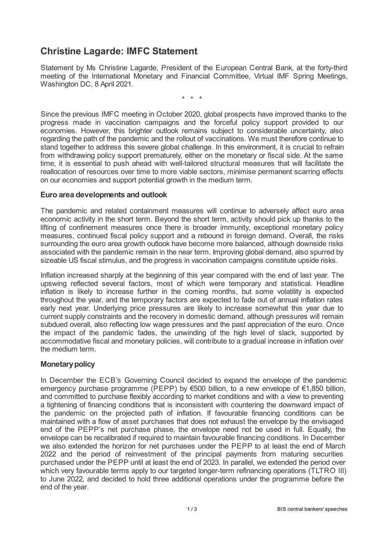# **Christine Lagarde: IMFC Statement**

Statement by Ms Christine Lagarde, President of the European Central Bank, at the forty-third meeting of the International Monetary and Financial Committee, Virtual IMF Spring Meetings, Washington DC, 8 April 2021.

\* \* \*

Since the previous IMFC meeting in October 2020, global prospects have improved thanks to the progress made in vaccination campaigns and the forceful policy support provided to our economies. However, this brighter outlook remains subject to considerable uncertainty, also regarding the path of the pandemic and the rollout of vaccinations. We must therefore continue to stand together to address this severe global challenge. In this environment, it is crucial to refrain from withdrawing policy support prematurely, either on the monetary or fiscal side. At the same time, it is essential to push ahead with well-tailored structural measures that will facilitate the reallocation of resources over time to more viable sectors, minimise permanent scarring effects on our economies and support potential growth in the medium term.

## **Euro area developments and outlook**

The pandemic and related containment measures will continue to adversely affect euro area economic activity in the short term. Beyond the short term, activity should pick up thanks to the lifting of confinement measures once there is broader immunity, exceptional monetary policy measures, continued fiscal policy support and a rebound in foreign demand. Overall, the risks surrounding the euro area growth outlook have become more balanced, although downside risks associated with the pandemic remain in the near term. Improving global demand, also spurred by sizeable US fiscal stimulus, and the progress in vaccination campaigns constitute upside risks.

Inflation increased sharply at the beginning of this year compared with the end of last year. The upswing reflected several factors, most of which were temporary and statistical. Headline inflation is likely to increase further in the coming months, but some volatility is expected throughout the year, and the temporary factors are expected to fade out of annual inflation rates early next year. Underlying price pressures are likely to increase somewhat this year due to current supply constraints and the recovery in domestic demand, although pressures will remain subdued overall, also reflecting low wage pressures and the past appreciation of the euro. Once the impact of the pandemic fades, the unwinding of the high level of slack, supported by accommodative fiscal and monetary policies, will contribute to a gradual increase in inflation over the medium term.

# **Monetary policy**

In December the ECB's Governing Council decided to expand the envelope of the pandemic emergency purchase programme (PEPP) by €500 billion, to a new envelope of €1,850 billion, and committed to purchase flexibly according to market conditions and with a view to preventing a tightening of financing conditions that is inconsistent with countering the downward impact of the pandemic on the projected path of inflation. If favourable financing conditions can be maintained with a flow of asset purchases that does not exhaust the envelope by the envisaged end of the PEPP's net purchase phase, the envelope need not be used in full. Equally, the envelope can be recalibrated if required to maintain favourable financing conditions. In December we also extended the horizon for net purchases under the PEPP to at least the end of March 2022 and the period of reinvestment of the principal payments from maturing securities purchased under the PEPP until at least the end of 2023. In parallel, we extended the period over which very favourable terms apply to our targeted longer-term refinancing operations (TLTRO III) to June 2022, and decided to hold three additional operations under the programme before the end of the year.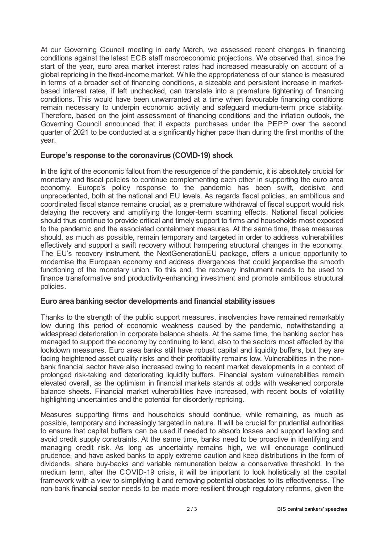At our Governing Council meeting in early March, we assessed recent changes in financing conditions against the latest ECB staff macroeconomic projections. We observed that, since the start of the year, euro area market interest rates had increased measurably on account of a global repricing in the fixed-income market. While the appropriateness of our stance is measured in terms of a broader set of financing conditions, a sizeable and persistent increase in marketbased interest rates, if left unchecked, can translate into a premature tightening of financing conditions. This would have been unwarranted at a time when favourable financing conditions remain necessary to underpin economic activity and safeguard medium-term price stability. Therefore, based on the joint assessment of financing conditions and the inflation outlook, the Governing Council announced that it expects purchases under the PEPP over the second quarter of 2021 to be conducted at a significantly higher pace than during the first months of the year.

# **Europe's response to the coronavirus (COVID-19) shock**

In the light of the economic fallout from the resurgence of the pandemic, it is absolutely crucial for monetary and fiscal policies to continue complementing each other in supporting the euro area economy. Europe's policy response to the pandemic has been swift, decisive and unprecedented, both at the national and EU levels. As regards fiscal policies, an ambitious and coordinated fiscal stance remains crucial, as a premature withdrawal of fiscal support would risk delaying the recovery and amplifying the longer-term scarring effects. National fiscal policies should thus continue to provide critical and timely support to firms and households most exposed to the pandemic and the associated containment measures. At the same time, these measures should, as much as possible, remain temporary and targeted in order to address vulnerabilities effectively and support a swift recovery without hampering structural changes in the economy. The EU's recovery instrument, the NextGenerationEU package, offers a unique opportunity to modernise the European economy and address divergences that could jeopardise the smooth functioning of the monetary union. To this end, the recovery instrument needs to be used to finance transformative and productivity-enhancing investment and promote ambitious structural policies.

## **Euro area banking sector developments and financial stabilityissues**

Thanks to the strength of the public support measures, insolvencies have remained remarkably low during this period of economic weakness caused by the pandemic, notwithstanding a widespread deterioration in corporate balance sheets. At the same time, the banking sector has managed to support the economy by continuing to lend, also to the sectors most affected by the lockdown measures. Euro area banks still have robust capital and liquidity buffers, but they are facing heightened asset quality risks and their profitability remains low. Vulnerabilities in the nonbank financial sector have also increased owing to recent market developments in a context of prolonged risk-taking and deteriorating liquidity buffers. Financial system vulnerabilities remain elevated overall, as the optimism in financial markets stands at odds with weakened corporate balance sheets. Financial market vulnerabilities have increased, with recent bouts of volatility highlighting uncertainties and the potential for disorderly repricing.

Measures supporting firms and households should continue, while remaining, as much as possible, temporary and increasingly targeted in nature. It will be crucial for prudential authorities to ensure that capital buffers can be used if needed to absorb losses and support lending and avoid credit supply constraints. At the same time, banks need to be proactive in identifying and managing credit risk. As long as uncertainty remains high, we will encourage continued prudence, and have asked banks to apply extreme caution and keep distributions in the form of dividends, share buy-backs and variable remuneration below a conservative threshold. In the medium term, after the COVID-19 crisis, it will be important to look holistically at the capital framework with a view to simplifying it and removing potential obstacles to its effectiveness. The non-bank financial sector needs to be made more resilient through regulatory reforms, given the